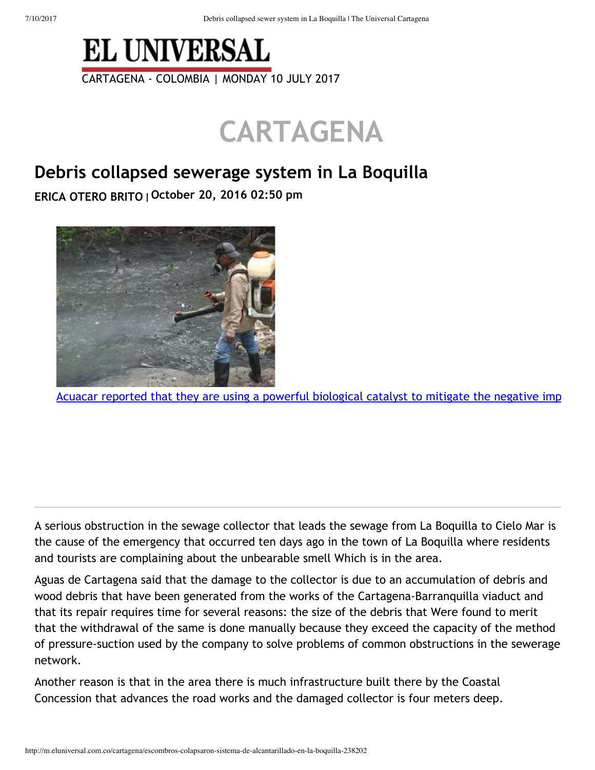

## **CARTAGENA**

## **Debris collapsed sewerage system in La Boquilla**

**ERICA OTERO BRITO October 20, 2016 02:50 pm**



Acuacar reported that they are using a powerful biological catalyst to mitigate the negative imp

A serious obstruction in the sewage collector that leads the sewage from La Boquilla to Cielo Mar is the cause of the emergency that occurred ten days ago in the town of La Boquilla where residents and tourists are complaining about the unbearable smell Which is in the area.

Aguas de Cartagena said that the damage to the collector is due to an accumulation of debris and wood debris that have been generated from the works of the Cartagena-Barranquilla viaduct and that its repair requires time for several reasons: the size of the debris that Were found to merit that the withdrawal of the same is done manually because they exceed the capacity of the method of pressure-suction used by the company to solve problems of common obstructions in the sewerage network.

Another reason is that in the area there is much infrastructure built there by the Coastal Concession that advances the road works and the damaged collector is four meters deep.